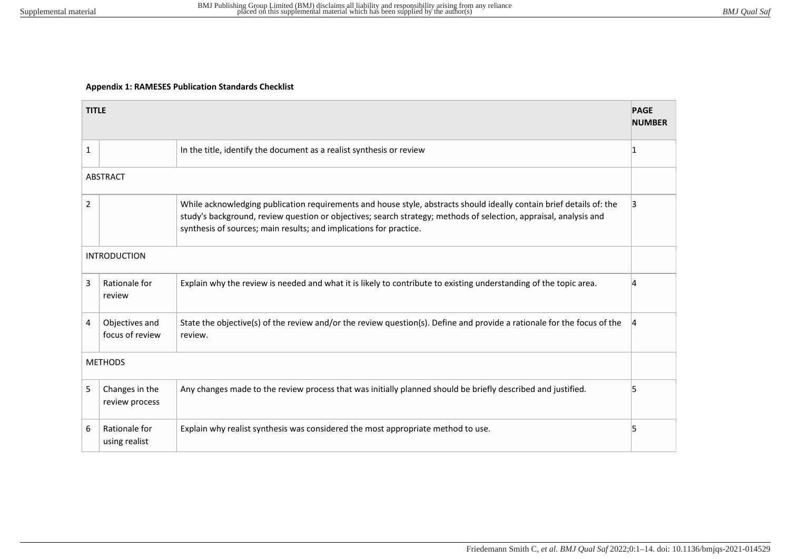## **Appendix 1: RAMESES Publication Standards Checklist**

|                     | <b>TITLE</b><br><b>NUMBER</b>     |                                                                                                                                                                                                                                                                                                                 |    |  |
|---------------------|-----------------------------------|-----------------------------------------------------------------------------------------------------------------------------------------------------------------------------------------------------------------------------------------------------------------------------------------------------------------|----|--|
| $\mathbf{1}$        |                                   | In the title, identify the document as a realist synthesis or review                                                                                                                                                                                                                                            | 11 |  |
|                     | <b>ABSTRACT</b>                   |                                                                                                                                                                                                                                                                                                                 |    |  |
| $\overline{2}$      |                                   | While acknowledging publication requirements and house style, abstracts should ideally contain brief details of: the<br>study's background, review question or objectives; search strategy; methods of selection, appraisal, analysis and<br>synthesis of sources; main results; and implications for practice. | 13 |  |
| <b>INTRODUCTION</b> |                                   |                                                                                                                                                                                                                                                                                                                 |    |  |
| 3                   | Rationale for<br>review           | Explain why the review is needed and what it is likely to contribute to existing understanding of the topic area.                                                                                                                                                                                               | 1  |  |
| 4                   | Objectives and<br>focus of review | State the objective(s) of the review and/or the review question(s). Define and provide a rationale for the focus of the<br>review.                                                                                                                                                                              |    |  |
| <b>METHODS</b>      |                                   |                                                                                                                                                                                                                                                                                                                 |    |  |
| 5                   | Changes in the<br>review process  | Any changes made to the review process that was initially planned should be briefly described and justified.                                                                                                                                                                                                    | 5  |  |
| 6                   | Rationale for<br>using realist    | Explain why realist synthesis was considered the most appropriate method to use.                                                                                                                                                                                                                                | 15 |  |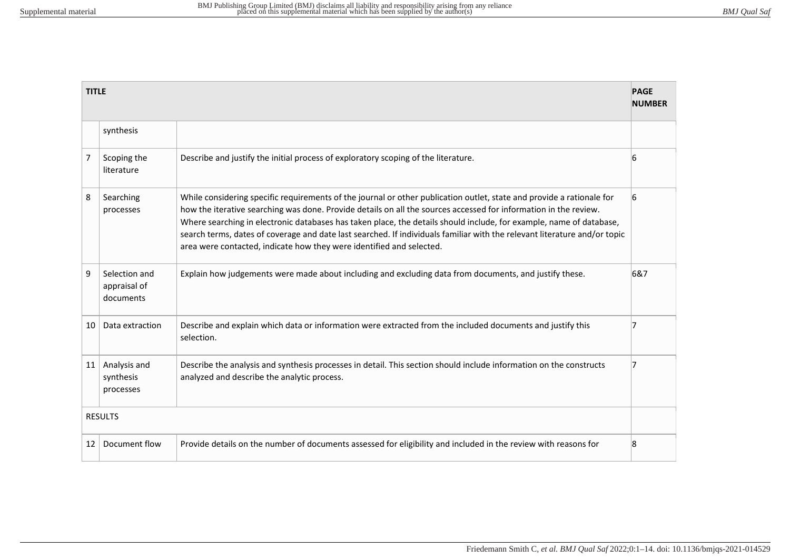| <b>TITLE</b><br><b>PAGE</b><br><b>NUMBER</b> |                               |                                                                                                                                                                                                                                                                                                                                                                                                                                                                                                                                                                       |     |  |
|----------------------------------------------|-------------------------------|-----------------------------------------------------------------------------------------------------------------------------------------------------------------------------------------------------------------------------------------------------------------------------------------------------------------------------------------------------------------------------------------------------------------------------------------------------------------------------------------------------------------------------------------------------------------------|-----|--|
| synthesis                                    |                               |                                                                                                                                                                                                                                                                                                                                                                                                                                                                                                                                                                       |     |  |
| $\overline{7}$<br>literature                 | Scoping the                   | Describe and justify the initial process of exploratory scoping of the literature.                                                                                                                                                                                                                                                                                                                                                                                                                                                                                    | 6   |  |
| 8<br>Searching<br>processes                  |                               | While considering specific requirements of the journal or other publication outlet, state and provide a rationale for<br>how the iterative searching was done. Provide details on all the sources accessed for information in the review.<br>Where searching in electronic databases has taken place, the details should include, for example, name of database,<br>search terms, dates of coverage and date last searched. If individuals familiar with the relevant literature and/or topic<br>area were contacted, indicate how they were identified and selected. | 6   |  |
| 9<br>documents                               | Selection and<br>appraisal of | Explain how judgements were made about including and excluding data from documents, and justify these.                                                                                                                                                                                                                                                                                                                                                                                                                                                                | 6&7 |  |
| 10                                           | Data extraction               | Describe and explain which data or information were extracted from the included documents and justify this<br>selection.                                                                                                                                                                                                                                                                                                                                                                                                                                              | 17  |  |
| 11<br>synthesis<br>processes                 | Analysis and                  | Describe the analysis and synthesis processes in detail. This section should include information on the constructs<br>analyzed and describe the analytic process.                                                                                                                                                                                                                                                                                                                                                                                                     | 7   |  |
| <b>RESULTS</b>                               |                               |                                                                                                                                                                                                                                                                                                                                                                                                                                                                                                                                                                       |     |  |
| 12                                           | Document flow                 | Provide details on the number of documents assessed for eligibility and included in the review with reasons for                                                                                                                                                                                                                                                                                                                                                                                                                                                       | 8   |  |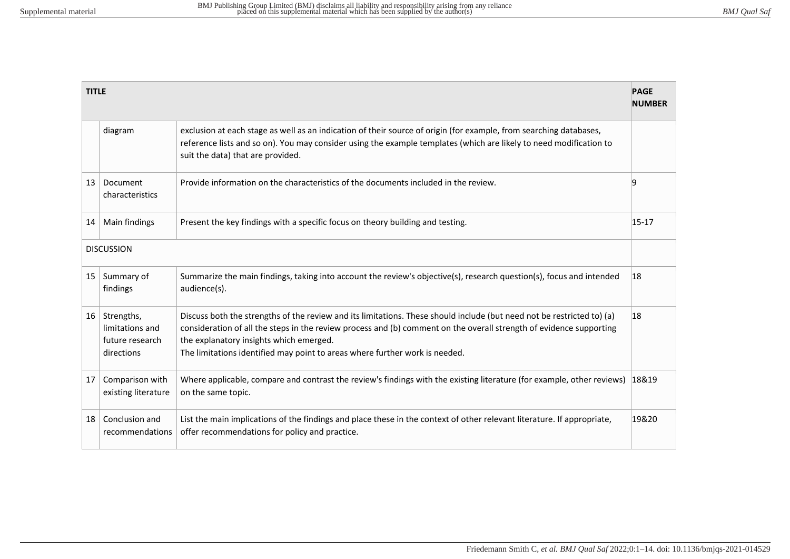| <b>PAGE</b><br><b>TITLE</b><br><b>NUMBER</b> |                                                                |                                                                                                                                                                                                                                                                                                                                                                         |           |  |
|----------------------------------------------|----------------------------------------------------------------|-------------------------------------------------------------------------------------------------------------------------------------------------------------------------------------------------------------------------------------------------------------------------------------------------------------------------------------------------------------------------|-----------|--|
|                                              | diagram                                                        | exclusion at each stage as well as an indication of their source of origin (for example, from searching databases,<br>reference lists and so on). You may consider using the example templates (which are likely to need modification to<br>suit the data) that are provided.                                                                                           |           |  |
| 13                                           | Document<br>characteristics                                    | Provide information on the characteristics of the documents included in the review.                                                                                                                                                                                                                                                                                     | 19        |  |
| 14                                           | Main findings                                                  | Present the key findings with a specific focus on theory building and testing.                                                                                                                                                                                                                                                                                          | $15 - 17$ |  |
| <b>DISCUSSION</b>                            |                                                                |                                                                                                                                                                                                                                                                                                                                                                         |           |  |
| 15                                           | Summary of<br>findings                                         | Summarize the main findings, taking into account the review's objective(s), research question(s), focus and intended<br>audience(s).                                                                                                                                                                                                                                    | 18        |  |
| $16 \mid$                                    | Strengths,<br>limitations and<br>future research<br>directions | Discuss both the strengths of the review and its limitations. These should include (but need not be restricted to) (a)<br>consideration of all the steps in the review process and (b) comment on the overall strength of evidence supporting<br>the explanatory insights which emerged.<br>The limitations identified may point to areas where further work is needed. | 18        |  |
| 17                                           | Comparison with<br>existing literature                         | Where applicable, compare and contrast the review's findings with the existing literature (for example, other reviews)<br>on the same topic.                                                                                                                                                                                                                            | 18&19     |  |
| 18                                           | Conclusion and<br>recommendations                              | List the main implications of the findings and place these in the context of other relevant literature. If appropriate,<br>offer recommendations for policy and practice.                                                                                                                                                                                               | 19&20     |  |